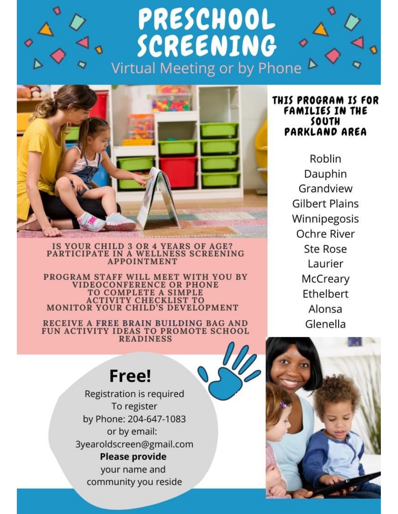

## PRESCHOOL SCREENING Virtual Meeting or by Phone



IS YOUR CHILD 3 OR 4 YEARS OF AGE?<br>PARTICIPATE IN A WELLNESS SCREENING **APPOINTMENT** 

PROGRAM STAFF WILL MEET WITH YOU BY<br>VIDEOCONFERENCE OR PHONE<br>TO COMPLETE A SIMPLE **ACTIVITY CHECKLIST TO** MONITOR YOUR CHILD'S DEVELOPMENT

RECEIVE A FREE BRAIN BUILDING BAG AND FUN ACTIVITY IDEAS TO PROMOTE SCHOOL **READINESS** 

## Free!

Registration is required To register by Phone: 204-647-1083 or by email: 3yearoldscreen@gmail.com **Please provide** your name and community you reside

THIS PROGRAM IS FOR **FAMILIES IN THE** SOUTH PARKLAND AREA

> Roblin Dauphin Grandview **Gilbert Plains** Winnipegosis Ochre River **Ste Rose** Laurier McCreary Ethelbert Alonsa Glenella